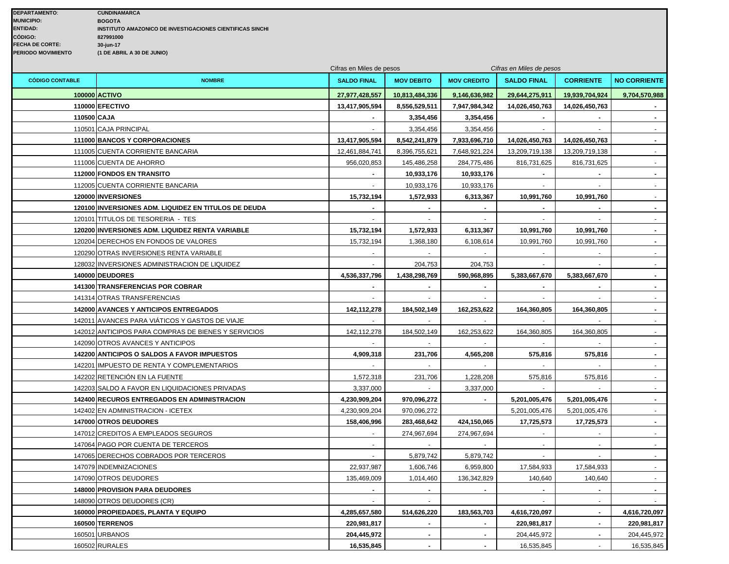|                        |                                                      | Cifras en Miles de pesos |                   |                    | Cifras en Miles de pesos |                  |                     |
|------------------------|------------------------------------------------------|--------------------------|-------------------|--------------------|--------------------------|------------------|---------------------|
| <b>CÓDIGO CONTABLE</b> | <b>NOMBRE</b>                                        | <b>SALDO FINAL</b>       | <b>MOV DEBITO</b> | <b>MOV CREDITO</b> | <b>SALDO FINAL</b>       | <b>CORRIENTE</b> | <b>NO CORRIENTE</b> |
|                        | 100000 ACTIVO                                        | 27,977,428,557           | 10,813,484,336    | 9,146,636,982      | 29,644,275,911           | 19,939,704,924   | 9,704,570,988       |
|                        | 110000 EFECTIVO                                      | 13,417,905,594           | 8,556,529,511     | 7,947,984,342      | 14,026,450,763           | 14,026,450,763   |                     |
|                        | 110500 CAJA                                          |                          | 3,354,456         | 3,354,456          |                          |                  | $\sim$              |
|                        | 110501 CAJA PRINCIPAL                                |                          | 3,354,456         | 3,354,456          |                          |                  | $\sim$              |
|                        | 111000 BANCOS Y CORPORACIONES                        | 13,417,905,594           | 8,542,241,879     | 7,933,696,710      | 14,026,450,763           | 14,026,450,763   | $\sim$              |
|                        | 111005 CUENTA CORRIENTE BANCARIA                     | 12,461,884,741           | 8,396,755,621     | 7,648,921,224      | 13,209,719,138           | 13,209,719,138   | $\sim 100$          |
|                        | 111006 CUENTA DE AHORRO                              | 956,020,853              | 145,486,258       | 284,775,486        | 816,731,625              | 816,731,625      | $\sim$              |
|                        | 112000 FONDOS EN TRANSITO                            |                          | 10,933,176        | 10,933,176         |                          |                  | $\sim$              |
|                        | 112005 CUENTA CORRIENTE BANCARIA                     |                          | 10,933,176        | 10,933,176         | $\blacksquare$           | $\blacksquare$   | $\sim$              |
|                        | 120000 INVERSIONES                                   | 15,732,194               | 1,572,933         | 6,313,367          | 10,991,760               | 10,991,760       | $\sim$              |
|                        | 120100 INVERSIONES ADM. LIQUIDEZ EN TITULOS DE DEUDA |                          |                   |                    |                          |                  |                     |
|                        | 120101 TITULOS DE TESORERIA - TES                    |                          |                   |                    |                          |                  |                     |
|                        | 120200 INVERSIONES ADM. LIQUIDEZ RENTA VARIABLE      | 15,732,194               | 1,572,933         | 6,313,367          | 10,991,760               | 10,991,760       | $\sim$              |
|                        | 120204 DERECHOS EN FONDOS DE VALORES                 | 15,732,194               | 1,368,180         | 6,108,614          | 10,991,760               | 10,991,760       | $\sim$              |
|                        | 120290 OTRAS INVERSIONES RENTA VARIABLE              |                          |                   |                    |                          |                  |                     |
|                        | 128032 INVERSIONES ADMINISTRACION DE LIQUIDEZ        |                          | 204,753           | 204,753            |                          |                  | $\sim$              |
|                        | 140000 DEUDORES                                      | 4,536,337,796            | 1,438,298,769     | 590,968,895        | 5,383,667,670            | 5,383,667,670    | $\sim$              |
|                        | <b>141300 TRANSFERENCIAS POR COBRAR</b>              |                          |                   | $\blacksquare$     |                          |                  | $\sim$              |
|                        | 141314 OTRAS TRANSFERENCIAS                          |                          |                   |                    |                          |                  | $\sim$              |
|                        | <b>142000 AVANCES Y ANTICIPOS ENTREGADOS</b>         | 142,112,278              | 184,502,149       | 162,253,622        | 164,360,805              | 164,360,805      | $\sim$              |
|                        | 142011 AVANCES PARA VIÁTICOS Y GASTOS DE VIAJE       |                          |                   |                    |                          |                  |                     |
|                        | 142012 ANTICIPOS PARA COMPRAS DE BIENES Y SERVICIOS  | 142,112,278              | 184,502,149       | 162,253,622        | 164,360,805              | 164,360,805      |                     |
|                        | 142090 OTROS AVANCES Y ANTICIPOS                     |                          |                   |                    |                          |                  |                     |
|                        | 142200 ANTICIPOS O SALDOS A FAVOR IMPUESTOS          | 4,909,318                | 231,706           | 4,565,208          | 575,816                  | 575,816          |                     |
|                        | 142201 IMPUESTO DE RENTA Y COMPLEMENTARIOS           |                          |                   |                    |                          |                  | $\sim$              |
|                        | 142202 RETENCIÓN EN LA FUENTE                        | 1,572,318                | 231,706           | 1,228,208          | 575,816                  | 575,816          |                     |
|                        | 142203 SALDO A FAVOR EN LIQUIDACIONES PRIVADAS       | 3,337,000                |                   | 3,337,000          |                          |                  |                     |
|                        | <b>142400 RECUROS ENTREGADOS EN ADMINISTRACION</b>   | 4,230,909,204            | 970,096,272       | $\blacksquare$     | 5,201,005,476            | 5,201,005,476    | $\sim$              |
|                        | 142402 EN ADMINISTRACION - ICETEX                    | 4,230,909,204            | 970,096,272       |                    | 5,201,005,476            | 5,201,005,476    | $\sim$              |
|                        | 147000 OTROS DEUDORES                                | 158,406,996              | 283,468,642       | 424,150,065        | 17,725,573               | 17,725,573       | $\sim$              |
|                        | 147012 CREDITOS A EMPLEADOS SEGUROS                  |                          | 274,967,694       | 274,967,694        |                          | $\blacksquare$   | $\sim$              |
|                        | 147064 PAGO POR CUENTA DE TERCEROS                   | $\blacksquare$           |                   |                    | $\blacksquare$           | $\blacksquare$   | $\sim$              |
|                        | 147065 DERECHOS COBRADOS POR TERCEROS                |                          | 5,879,742         | 5,879,742          | $\blacksquare$           | $\blacksquare$   | $\sim$ 10 $\pm$     |
|                        | 147079 INDEMNIZACIONES                               | 22,937,987               | 1,606,746         | 6,959,800          | 17,584,933               | 17,584,933       | $\sim$              |
|                        | 147090 OTROS DEUDORES                                | 135,469,009              | 1,014,460         | 136,342,829        | 140,640                  | 140,640          |                     |
|                        | <b>148000 PROVISION PARA DEUDORES</b>                |                          |                   |                    |                          |                  |                     |
|                        | 148090 OTROS DEUDORES (CR)                           |                          |                   |                    |                          | $\blacksquare$   |                     |
|                        | 160000 PROPIEDADES, PLANTA Y EQUIPO                  | 4,285,657,580            | 514,626,220       | 183,563,703        | 4,616,720,097            | $\blacksquare$   | 4,616,720,097       |
|                        | 160500 TERRENOS                                      | 220,981,817              |                   |                    | 220,981,817              |                  | 220,981,817         |
|                        | 160501 URBANOS                                       | 204,445,972              | $\blacksquare$    | $\blacksquare$     | 204,445,972              |                  | 204,445,972         |
|                        | 160502 RURALES                                       | 16,535,845               |                   | $\blacksquare$     | 16,535,845               |                  | 16,535,845          |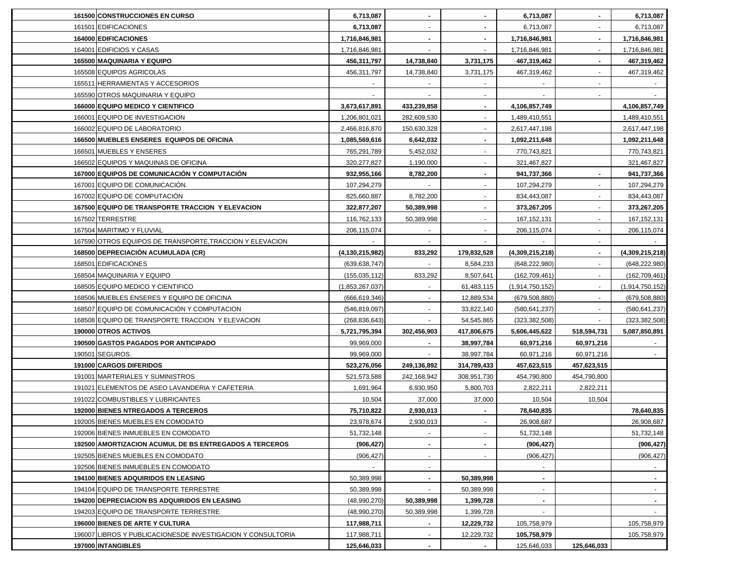| <b>161500 CONSTRUCCIONES EN CURSO</b>                       | 6,713,087          |                          |                | 6,713,087       |             | 6,713,087       |
|-------------------------------------------------------------|--------------------|--------------------------|----------------|-----------------|-------------|-----------------|
| 161501 EDIFICACIONES                                        | 6,713,087          |                          |                | 6,713,087       |             | 6,713,087       |
| 164000 EDIFICACIONES                                        | 1,716,846,981      |                          |                | 1,716,846,981   |             | 1,716,846,981   |
| 164001 EDIFICIOS Y CASAS                                    | 1,716,846,981      |                          |                | 1,716,846,981   |             | 1,716,846,981   |
| 165500 MAQUINARIA Y EQUIPO                                  | 456,311,797        | 14,738,840               | 3,731,175      | 467,319,462     |             | 467,319,462     |
| 165508 EQUIPOS AGRICOLAS                                    | 456,311,797        | 14,738,840               | 3,731,175      | 467,319,462     |             | 467,319,462     |
| 165511 HERRAMIENTAS Y ACCESORIOS                            |                    |                          |                |                 |             |                 |
| 165590 OTROS MAQUINARIA Y EQUIPO                            |                    | $\overline{\phantom{a}}$ | $\blacksquare$ |                 |             |                 |
| 166000 EQUIPO MEDICO Y CIENTIFICO                           | 3,673,617,891      | 433,239,858              | $\sim$         | 4,106,857,749   |             | 4,106,857,749   |
| 166001 EQUIPO DE INVESTIGACION                              | 1,206,801,021      | 282,609,530              | $\sim$         | 1,489,410,551   |             | 1,489,410,551   |
| 166002 EQUIPO DE LABORATORIO                                | 2,466,816,870      | 150,630,328              |                | 2,617,447,198   |             | 2,617,447,198   |
| 166500 MUEBLES ENSERES EQUIPOS DE OFICINA                   | 1,085,569,616      | 6,642,032                |                | 1,092,211,648   |             | 1,092,211,648   |
| 166501 MUEBLES Y ENSERES                                    | 765,291,789        | 5,452,032                |                | 770,743,821     |             | 770,743,821     |
| 166502 EQUIPOS Y MAQUINAS DE OFICINA                        | 320,277,827        | 1,190,000                |                | 321,467,827     |             | 321,467,827     |
| 167000 EQUIPOS DE COMUNICACIÓN Y COMPUTACIÓN                | 932,955,166        | 8,782,200                |                | 941,737,366     |             | 941,737,366     |
| 167001 EQUIPO DE COMUNICACIÓN.                              | 107,294,279        |                          |                | 107,294,279     |             | 107,294,279     |
| 167002 EQUIPO DE COMPUTACIÓN                                | 825,660,887        | 8,782,200                |                | 834,443,087     |             | 834,443,087     |
| 167500 EQUIPO DE TRANSPORTE TRACCION Y ELEVACION            | 322,877,207        | 50,389,998               |                | 373,267,205     |             | 373,267,205     |
| 167502 TERRESTRE                                            | 116,762,133        | 50,389,998               |                | 167, 152, 131   |             | 167, 152, 131   |
| 167504 MARITIMO Y FLUVIAL                                   | 206,115,074        |                          |                | 206,115,074     |             | 206,115,074     |
| 167590 OTROS EQUIPOS DE TRANSPORTE, TRACCION Y ELEVACION    |                    | $\blacksquare$           |                |                 |             |                 |
| 168500 DEPRECIACIÓN ACUMULADA (CR)                          | (4, 130, 215, 982) | 833,292                  | 179,832,528    | (4,309,215,218) |             | (4,309,215,218) |
| 168501 EDIFICACIONES                                        | (639, 638, 747)    |                          | 8,584,233      | (648, 222, 980) |             | (648, 222, 980) |
| 168504 MAQUINARIA Y EQUIPO                                  | (155, 035, 112)    | 833,292                  | 8,507,641      | (162, 709, 461) |             | (162, 709, 461) |
| 168505 EQUIPO MEDICO Y CIENTIFICO                           | (1,853,267,037)    |                          | 61,483,115     | (1,914,750,152) |             | (1,914,750,152) |
| 168506 MUEBLES ENSERES Y EQUIPO DE OFICINA                  | (666, 619, 346)    |                          | 12,889,534     | (679, 508, 880) |             | (679, 508, 880) |
| 168507 EQUIPO DE COMUNICACIÓN Y COMPUTACION                 | (546, 819, 097)    |                          | 33,822,140     | (580, 641, 237) |             | (580, 641, 237) |
| 168508 EQUIPO DE TRANSPORTE TRACCION Y ELEVACION            | (268, 836, 643)    |                          | 54,545,865     | (323, 382, 508) |             | (323, 382, 508) |
| 190000 OTROS ACTIVOS                                        | 5,721,795,394      | 302,456,903              | 417,806,675    | 5,606,445,622   | 518,594,731 | 5,087,850,891   |
| 190500 GASTOS PAGADOS POR ANTICIPADO                        | 99,969,000         |                          | 38,997,784     | 60,971,216      | 60,971,216  |                 |
| 190501 SEGUROS.                                             | 99,969,000         | $\sim$                   | 38,997,784     | 60,971,216      | 60,971,216  |                 |
| 191000 CARGOS DIFERIDOS                                     | 523,276,056        | 249,136,892              | 314,789,433    | 457,623,515     | 457,623,515 |                 |
| 191001 MARTERIALES Y SUMINISTROS                            | 521,573,588        | 242,168,942              | 308,951,730    | 454,790,800     | 454,790,800 |                 |
| 191021 ELEMENTOS DE ASEO LAVANDERIA Y CAFETERIA             | 1,691,964          | 6,930,950                | 5,800,703      | 2,822,211       | 2,822,211   |                 |
| 191022 COMBUSTIBLES Y LUBRICANTES                           | 10,504             | 37,000                   | 37,000         | 10,504          | 10,504      |                 |
| <b>192000 BIENES NTREGADOS A TERCEROS</b>                   | 75,710,822         | 2,930,013                |                | 78,640,835      |             | 78,640,835      |
| 192005 BIENES MUEBLES EN COMODATO                           | 23,978,674         | 2,930,013                |                | 26,908,687      |             | 26,908,687      |
| 192006 BIENES INMUEBLES EN COMODATO                         | 51,732,148         |                          |                | 51,732,148      |             | 51,732,148      |
| 192500 AMORTIZACION ACUMUL DE BS ENTREGADOS A TERCEROS      | (906, 427)         |                          |                | (906, 427)      |             | (906, 427)      |
| 192505 BIENES MUEBLES EN COMODATO                           | (906, 427)         |                          |                | (906, 427)      |             | (906, 427)      |
| 192506 BIENES INMUEBLES EN COMODATO                         |                    |                          |                |                 |             |                 |
| 194100 BIENES ADQUIRIDOS EN LEASING                         | 50,389,998         | $\blacksquare$           | 50,389,998     |                 |             | $\blacksquare$  |
| 194104 EQUIPO DE TRANSPORTE TERRESTRE                       | 50,389,998         |                          | 50,389,998     |                 |             |                 |
| 194200 DEPRECIACION BS ADQUIRIDOS EN LEASING                | (48,990,270)       | 50,389,998               | 1,399,728      |                 |             | $\blacksquare$  |
| 194203 EQUIPO DE TRANSPORTE TERRESTRE                       | (48,990,270)       | 50,389,998               | 1,399,728      |                 |             |                 |
| 196000 BIENES DE ARTE Y CULTURA                             | 117,988,711        |                          | 12,229,732     | 105,758,979     |             | 105,758,979     |
| 196007 LIBROS Y PUBLICACIONESDE INVESTIGACION Y CONSULTORIA | 117,988,711        |                          | 12,229,732     | 105,758,979     |             | 105,758,979     |
| 197000 INTANGIBLES                                          | 125,646,033        |                          |                | 125,646,033     | 125,646,033 |                 |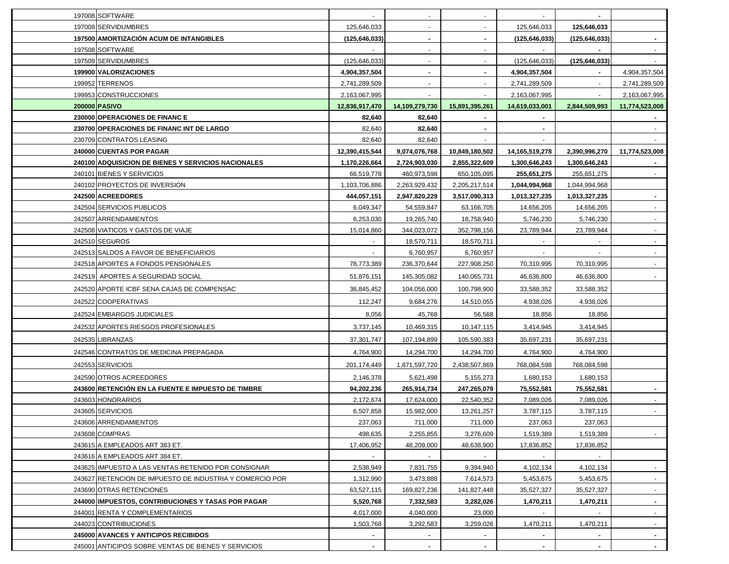| 197009 SERVIDUMBRES<br>125,646,033<br>125,646,033<br>125,646,033<br>$\blacksquare$<br>$\sim$<br>197500 AMORTIZACIÓN ACUM DE INTANGIBLES<br>(125, 646, 033)<br>(125, 646, 033)<br>(125, 646, 033)<br>$\blacksquare$<br>$\blacksquare$<br>197508 SOFTWARE<br>$\sim$<br>$\sim$<br>197509 SERVIDUMBRES<br>(125, 646, 033)<br>(125, 646, 033)<br>(125, 646, 033)<br>$\sim$<br>$\sim$<br>199900 VALORIZACIONES<br>4,904,357,504<br>4,904,357,504<br>4,904,357,504<br>$\blacksquare$<br>$\sim$<br>199952 TERRENOS<br>2,741,289,509<br>2,741,289,509<br>2,741,289,509<br>$\blacksquare$<br>$\sim$<br>$\sim$<br>199953 CONSTRUCCIONES<br>2,163,067,995<br>2,163,067,995<br>200000 PASIVO<br>12,836,917,470<br>14,109,279,730<br>15,891,395,261<br>14,619,033,001<br>2,844,509,993<br>11,774,523,008<br>230000 OPERACIONES DE FINANC E<br>82,640<br>82,640<br>230700 OPERACIONES DE FINANC INT DE LARGO<br>82,640<br>82,640<br>230709 CONTRATOS LEASING<br>82,640<br>82,640<br>240000 CUENTAS POR PAGAR<br>12,390,415,544<br>9,074,076,768<br>10,849,180,502<br>14,165,519,278<br>2,390,996,270<br>11,774,523,008<br>240100 ADQUISICION DE BIENES Y SERVICIOS NACIONALES<br>1,170,226,664<br>2,724,903,030<br>2,855,322,609<br>1,300,646,243<br>1,300,646,243<br>240101 BIENES Y SERVICIOS<br>66,519,778<br>460,973,598<br>650,105,095<br>255,651,275<br>255,651,275<br>240102 PROYECTOS DE INVERSION<br>1,103,706,886<br>2,263,929,432<br>2,205,217,514<br>1,044,994,968<br>1,044,994,968<br>242500 ACREEDORES<br>444,057,151<br>2,947,820,229<br>3,517,090,313<br>1,013,327,235<br>1,013,327,235<br>242504 SERVICIOS PUBLICOS<br>6,049,347<br>54,559,847<br>14,656,205<br>14,656,205<br>63,166,705<br>242507 ARRENDAMIENTOS<br>6,253,030<br>19,265,740<br>5,746,230<br>5,746,230<br>18,758,940<br>242508 VIATICOS Y GASTOS DE VIAJE<br>15,014,860<br>344,023,072<br>352,798,156<br>23,789,944<br>23,789,944<br>242510 SEGUROS<br>18,570,711<br>18,570,711<br>242513 SALDOS A FAVOR DE BENEFICIARIOS<br>6,760,957<br>6,760,957<br>242518 APORTES A FONDOS PENSIONALES<br>78,773,389<br>236,370,644<br>227,908,250<br>70,310,995<br>70,310,995<br>242519 APORTES A SEGURIDAD SOCIAL<br>51,876,151<br>145,305,082<br>140,065,731<br>46,636,800<br>46,636,800<br>$\sim$<br>242520 APORTE ICBF SENA CAJAS DE COMPENSAC<br>36,845,452<br>104,056,000<br>100,798,900<br>33,588,352<br>33,588,352<br>242522 COOPERATIVAS<br>112,247<br>9,684,276<br>4,938,026<br>4,938,026<br>14,510,055<br>242524 EMBARGOS JUDICIALES<br>8,056<br>45,768<br>56,568<br>18,856<br>18,856<br>242532 APORTES RIESGOS PROFESIONALES<br>3,737,145<br>10,469,315<br>3,414,945<br>3,414,945<br>10,147,115<br>242535 LIBRANZAS<br>35,697,231<br>37,301,747<br>107,194,899<br>105,590,383<br>35,697,231<br>242546 CONTRATOS DE MEDICINA PREPAGADA<br>4,764,900<br>14,294,700<br>14,294,700<br>4,764,900<br>4,764,900<br>242553 SERVICIOS<br>201,174,449<br>1,871,597,720<br>2,438,507,869<br>768,084,598<br>768,084,598<br>242590 OTROS ACREEDORES<br>2,146,378<br>5,621,498<br>1,680,153<br>1,680,153<br>5,155,273<br>243600 RETENCIÓN EN LA FUENTE E IMPUESTO DE TIMBRE<br>94,202,236<br>265,914,734<br>247,265,079<br>75,552,581<br>75,552,581<br>243603 HONORARIOS<br>7,089,026<br>7,089,026<br>2,172,674<br>17,624,000<br>22,540,352<br>243605 SERVICIOS<br>6,507,858<br>3,787,115<br>15,982,000<br>13,261,257<br>3,787,115<br>237,063<br>243606 ARRENDAMIENTOS<br>237,063<br>711,000<br>711,000<br>237,063<br>243608 COMPRAS<br>498,635<br>2,255,855<br>3,276,609<br>1,519,389<br>1,519,389<br>243615 A EMPLEADOS ART 383 ET.<br>17,406,952<br>48,209,000<br>48,638,900<br>17,836,852<br>17,836,852<br>243616 A EMPLEADOS ART 384 ET.<br>$\sim$<br>$\sim$<br>$\sim$<br>$\sim$<br>2,538,949<br>243625 IMPUESTO A LAS VENTAS RETENIDO POR CONSIGNAR<br>7,831,755<br>9,394,940<br>4,102,134<br>4,102,134<br>$\sim$<br>243627 RETENCION DE IMPUESTO DE INDUSTRIA Y COMERCIO POR<br>1,312,990<br>3,473,888<br>5,453,675<br>7,614,573<br>5,453,675<br>$\sim$<br>63,527,115<br>35,527,327<br>35,527,327<br>243690 OTRAS RETENCIONES<br>169,827,236<br>141,827,448<br>$\sim$<br>244000 IMPUESTOS, CONTRIBUCIONES Y TASAS POR PAGAR<br>5,520,768<br>7,332,583<br>3,282,026<br>1,470,211<br>1,470,211<br>244001 RENTA Y COMPLEMENTARIOS<br>4,017,000<br>4,040,000<br>23,000<br>$\sim$<br>244023 CONTRIBUCIONES<br>1,503,768<br>3,292,583<br>3,259,026<br>1,470,211<br>1,470,211<br>$\sim$<br>245000 AVANCES Y ANTICIPOS RECIBIDOS<br>$\blacksquare$<br>$\sim$<br>$\sim$<br>245001 ANTICIPOS SOBRE VENTAS DE BIENES Y SERVICIOS<br>$\sim$<br>$\sim$<br>$\sim$<br>$\blacksquare$ | 197008 SOFTWARE |  |  |               |
|-----------------------------------------------------------------------------------------------------------------------------------------------------------------------------------------------------------------------------------------------------------------------------------------------------------------------------------------------------------------------------------------------------------------------------------------------------------------------------------------------------------------------------------------------------------------------------------------------------------------------------------------------------------------------------------------------------------------------------------------------------------------------------------------------------------------------------------------------------------------------------------------------------------------------------------------------------------------------------------------------------------------------------------------------------------------------------------------------------------------------------------------------------------------------------------------------------------------------------------------------------------------------------------------------------------------------------------------------------------------------------------------------------------------------------------------------------------------------------------------------------------------------------------------------------------------------------------------------------------------------------------------------------------------------------------------------------------------------------------------------------------------------------------------------------------------------------------------------------------------------------------------------------------------------------------------------------------------------------------------------------------------------------------------------------------------------------------------------------------------------------------------------------------------------------------------------------------------------------------------------------------------------------------------------------------------------------------------------------------------------------------------------------------------------------------------------------------------------------------------------------------------------------------------------------------------------------------------------------------------------------------------------------------------------------------------------------------------------------------------------------------------------------------------------------------------------------------------------------------------------------------------------------------------------------------------------------------------------------------------------------------------------------------------------------------------------------------------------------------------------------------------------------------------------------------------------------------------------------------------------------------------------------------------------------------------------------------------------------------------------------------------------------------------------------------------------------------------------------------------------------------------------------------------------------------------------------------------------------------------------------------------------------------------------------------------------------------------------------------------------------------------------------------------------------------------------------------------------------------------------------------------------------------------------------------------------------------------------------------------------------------------------------------------------------------------------------------------------------------------------------------------------------------------------------------------------------------------------------------------------------------------------------------------------------------------------------------------------------------------------------------------------------------------------------------------------------------------------------------------------------------------------------------------------------------------------------------------------------------------------------------|-----------------|--|--|---------------|
|                                                                                                                                                                                                                                                                                                                                                                                                                                                                                                                                                                                                                                                                                                                                                                                                                                                                                                                                                                                                                                                                                                                                                                                                                                                                                                                                                                                                                                                                                                                                                                                                                                                                                                                                                                                                                                                                                                                                                                                                                                                                                                                                                                                                                                                                                                                                                                                                                                                                                                                                                                                                                                                                                                                                                                                                                                                                                                                                                                                                                                                                                                                                                                                                                                                                                                                                                                                                                                                                                                                                                                                                                                                                                                                                                                                                                                                                                                                                                                                                                                                                                                                                                                                                                                                                                                                                                                                                                                                                                                                                                                                                                                   |                 |  |  |               |
|                                                                                                                                                                                                                                                                                                                                                                                                                                                                                                                                                                                                                                                                                                                                                                                                                                                                                                                                                                                                                                                                                                                                                                                                                                                                                                                                                                                                                                                                                                                                                                                                                                                                                                                                                                                                                                                                                                                                                                                                                                                                                                                                                                                                                                                                                                                                                                                                                                                                                                                                                                                                                                                                                                                                                                                                                                                                                                                                                                                                                                                                                                                                                                                                                                                                                                                                                                                                                                                                                                                                                                                                                                                                                                                                                                                                                                                                                                                                                                                                                                                                                                                                                                                                                                                                                                                                                                                                                                                                                                                                                                                                                                   |                 |  |  |               |
|                                                                                                                                                                                                                                                                                                                                                                                                                                                                                                                                                                                                                                                                                                                                                                                                                                                                                                                                                                                                                                                                                                                                                                                                                                                                                                                                                                                                                                                                                                                                                                                                                                                                                                                                                                                                                                                                                                                                                                                                                                                                                                                                                                                                                                                                                                                                                                                                                                                                                                                                                                                                                                                                                                                                                                                                                                                                                                                                                                                                                                                                                                                                                                                                                                                                                                                                                                                                                                                                                                                                                                                                                                                                                                                                                                                                                                                                                                                                                                                                                                                                                                                                                                                                                                                                                                                                                                                                                                                                                                                                                                                                                                   |                 |  |  |               |
|                                                                                                                                                                                                                                                                                                                                                                                                                                                                                                                                                                                                                                                                                                                                                                                                                                                                                                                                                                                                                                                                                                                                                                                                                                                                                                                                                                                                                                                                                                                                                                                                                                                                                                                                                                                                                                                                                                                                                                                                                                                                                                                                                                                                                                                                                                                                                                                                                                                                                                                                                                                                                                                                                                                                                                                                                                                                                                                                                                                                                                                                                                                                                                                                                                                                                                                                                                                                                                                                                                                                                                                                                                                                                                                                                                                                                                                                                                                                                                                                                                                                                                                                                                                                                                                                                                                                                                                                                                                                                                                                                                                                                                   |                 |  |  |               |
|                                                                                                                                                                                                                                                                                                                                                                                                                                                                                                                                                                                                                                                                                                                                                                                                                                                                                                                                                                                                                                                                                                                                                                                                                                                                                                                                                                                                                                                                                                                                                                                                                                                                                                                                                                                                                                                                                                                                                                                                                                                                                                                                                                                                                                                                                                                                                                                                                                                                                                                                                                                                                                                                                                                                                                                                                                                                                                                                                                                                                                                                                                                                                                                                                                                                                                                                                                                                                                                                                                                                                                                                                                                                                                                                                                                                                                                                                                                                                                                                                                                                                                                                                                                                                                                                                                                                                                                                                                                                                                                                                                                                                                   |                 |  |  |               |
|                                                                                                                                                                                                                                                                                                                                                                                                                                                                                                                                                                                                                                                                                                                                                                                                                                                                                                                                                                                                                                                                                                                                                                                                                                                                                                                                                                                                                                                                                                                                                                                                                                                                                                                                                                                                                                                                                                                                                                                                                                                                                                                                                                                                                                                                                                                                                                                                                                                                                                                                                                                                                                                                                                                                                                                                                                                                                                                                                                                                                                                                                                                                                                                                                                                                                                                                                                                                                                                                                                                                                                                                                                                                                                                                                                                                                                                                                                                                                                                                                                                                                                                                                                                                                                                                                                                                                                                                                                                                                                                                                                                                                                   |                 |  |  |               |
|                                                                                                                                                                                                                                                                                                                                                                                                                                                                                                                                                                                                                                                                                                                                                                                                                                                                                                                                                                                                                                                                                                                                                                                                                                                                                                                                                                                                                                                                                                                                                                                                                                                                                                                                                                                                                                                                                                                                                                                                                                                                                                                                                                                                                                                                                                                                                                                                                                                                                                                                                                                                                                                                                                                                                                                                                                                                                                                                                                                                                                                                                                                                                                                                                                                                                                                                                                                                                                                                                                                                                                                                                                                                                                                                                                                                                                                                                                                                                                                                                                                                                                                                                                                                                                                                                                                                                                                                                                                                                                                                                                                                                                   |                 |  |  | 2,163,067,995 |
|                                                                                                                                                                                                                                                                                                                                                                                                                                                                                                                                                                                                                                                                                                                                                                                                                                                                                                                                                                                                                                                                                                                                                                                                                                                                                                                                                                                                                                                                                                                                                                                                                                                                                                                                                                                                                                                                                                                                                                                                                                                                                                                                                                                                                                                                                                                                                                                                                                                                                                                                                                                                                                                                                                                                                                                                                                                                                                                                                                                                                                                                                                                                                                                                                                                                                                                                                                                                                                                                                                                                                                                                                                                                                                                                                                                                                                                                                                                                                                                                                                                                                                                                                                                                                                                                                                                                                                                                                                                                                                                                                                                                                                   |                 |  |  |               |
|                                                                                                                                                                                                                                                                                                                                                                                                                                                                                                                                                                                                                                                                                                                                                                                                                                                                                                                                                                                                                                                                                                                                                                                                                                                                                                                                                                                                                                                                                                                                                                                                                                                                                                                                                                                                                                                                                                                                                                                                                                                                                                                                                                                                                                                                                                                                                                                                                                                                                                                                                                                                                                                                                                                                                                                                                                                                                                                                                                                                                                                                                                                                                                                                                                                                                                                                                                                                                                                                                                                                                                                                                                                                                                                                                                                                                                                                                                                                                                                                                                                                                                                                                                                                                                                                                                                                                                                                                                                                                                                                                                                                                                   |                 |  |  |               |
|                                                                                                                                                                                                                                                                                                                                                                                                                                                                                                                                                                                                                                                                                                                                                                                                                                                                                                                                                                                                                                                                                                                                                                                                                                                                                                                                                                                                                                                                                                                                                                                                                                                                                                                                                                                                                                                                                                                                                                                                                                                                                                                                                                                                                                                                                                                                                                                                                                                                                                                                                                                                                                                                                                                                                                                                                                                                                                                                                                                                                                                                                                                                                                                                                                                                                                                                                                                                                                                                                                                                                                                                                                                                                                                                                                                                                                                                                                                                                                                                                                                                                                                                                                                                                                                                                                                                                                                                                                                                                                                                                                                                                                   |                 |  |  |               |
|                                                                                                                                                                                                                                                                                                                                                                                                                                                                                                                                                                                                                                                                                                                                                                                                                                                                                                                                                                                                                                                                                                                                                                                                                                                                                                                                                                                                                                                                                                                                                                                                                                                                                                                                                                                                                                                                                                                                                                                                                                                                                                                                                                                                                                                                                                                                                                                                                                                                                                                                                                                                                                                                                                                                                                                                                                                                                                                                                                                                                                                                                                                                                                                                                                                                                                                                                                                                                                                                                                                                                                                                                                                                                                                                                                                                                                                                                                                                                                                                                                                                                                                                                                                                                                                                                                                                                                                                                                                                                                                                                                                                                                   |                 |  |  |               |
|                                                                                                                                                                                                                                                                                                                                                                                                                                                                                                                                                                                                                                                                                                                                                                                                                                                                                                                                                                                                                                                                                                                                                                                                                                                                                                                                                                                                                                                                                                                                                                                                                                                                                                                                                                                                                                                                                                                                                                                                                                                                                                                                                                                                                                                                                                                                                                                                                                                                                                                                                                                                                                                                                                                                                                                                                                                                                                                                                                                                                                                                                                                                                                                                                                                                                                                                                                                                                                                                                                                                                                                                                                                                                                                                                                                                                                                                                                                                                                                                                                                                                                                                                                                                                                                                                                                                                                                                                                                                                                                                                                                                                                   |                 |  |  |               |
|                                                                                                                                                                                                                                                                                                                                                                                                                                                                                                                                                                                                                                                                                                                                                                                                                                                                                                                                                                                                                                                                                                                                                                                                                                                                                                                                                                                                                                                                                                                                                                                                                                                                                                                                                                                                                                                                                                                                                                                                                                                                                                                                                                                                                                                                                                                                                                                                                                                                                                                                                                                                                                                                                                                                                                                                                                                                                                                                                                                                                                                                                                                                                                                                                                                                                                                                                                                                                                                                                                                                                                                                                                                                                                                                                                                                                                                                                                                                                                                                                                                                                                                                                                                                                                                                                                                                                                                                                                                                                                                                                                                                                                   |                 |  |  |               |
|                                                                                                                                                                                                                                                                                                                                                                                                                                                                                                                                                                                                                                                                                                                                                                                                                                                                                                                                                                                                                                                                                                                                                                                                                                                                                                                                                                                                                                                                                                                                                                                                                                                                                                                                                                                                                                                                                                                                                                                                                                                                                                                                                                                                                                                                                                                                                                                                                                                                                                                                                                                                                                                                                                                                                                                                                                                                                                                                                                                                                                                                                                                                                                                                                                                                                                                                                                                                                                                                                                                                                                                                                                                                                                                                                                                                                                                                                                                                                                                                                                                                                                                                                                                                                                                                                                                                                                                                                                                                                                                                                                                                                                   |                 |  |  |               |
|                                                                                                                                                                                                                                                                                                                                                                                                                                                                                                                                                                                                                                                                                                                                                                                                                                                                                                                                                                                                                                                                                                                                                                                                                                                                                                                                                                                                                                                                                                                                                                                                                                                                                                                                                                                                                                                                                                                                                                                                                                                                                                                                                                                                                                                                                                                                                                                                                                                                                                                                                                                                                                                                                                                                                                                                                                                                                                                                                                                                                                                                                                                                                                                                                                                                                                                                                                                                                                                                                                                                                                                                                                                                                                                                                                                                                                                                                                                                                                                                                                                                                                                                                                                                                                                                                                                                                                                                                                                                                                                                                                                                                                   |                 |  |  |               |
|                                                                                                                                                                                                                                                                                                                                                                                                                                                                                                                                                                                                                                                                                                                                                                                                                                                                                                                                                                                                                                                                                                                                                                                                                                                                                                                                                                                                                                                                                                                                                                                                                                                                                                                                                                                                                                                                                                                                                                                                                                                                                                                                                                                                                                                                                                                                                                                                                                                                                                                                                                                                                                                                                                                                                                                                                                                                                                                                                                                                                                                                                                                                                                                                                                                                                                                                                                                                                                                                                                                                                                                                                                                                                                                                                                                                                                                                                                                                                                                                                                                                                                                                                                                                                                                                                                                                                                                                                                                                                                                                                                                                                                   |                 |  |  |               |
|                                                                                                                                                                                                                                                                                                                                                                                                                                                                                                                                                                                                                                                                                                                                                                                                                                                                                                                                                                                                                                                                                                                                                                                                                                                                                                                                                                                                                                                                                                                                                                                                                                                                                                                                                                                                                                                                                                                                                                                                                                                                                                                                                                                                                                                                                                                                                                                                                                                                                                                                                                                                                                                                                                                                                                                                                                                                                                                                                                                                                                                                                                                                                                                                                                                                                                                                                                                                                                                                                                                                                                                                                                                                                                                                                                                                                                                                                                                                                                                                                                                                                                                                                                                                                                                                                                                                                                                                                                                                                                                                                                                                                                   |                 |  |  |               |
|                                                                                                                                                                                                                                                                                                                                                                                                                                                                                                                                                                                                                                                                                                                                                                                                                                                                                                                                                                                                                                                                                                                                                                                                                                                                                                                                                                                                                                                                                                                                                                                                                                                                                                                                                                                                                                                                                                                                                                                                                                                                                                                                                                                                                                                                                                                                                                                                                                                                                                                                                                                                                                                                                                                                                                                                                                                                                                                                                                                                                                                                                                                                                                                                                                                                                                                                                                                                                                                                                                                                                                                                                                                                                                                                                                                                                                                                                                                                                                                                                                                                                                                                                                                                                                                                                                                                                                                                                                                                                                                                                                                                                                   |                 |  |  |               |
|                                                                                                                                                                                                                                                                                                                                                                                                                                                                                                                                                                                                                                                                                                                                                                                                                                                                                                                                                                                                                                                                                                                                                                                                                                                                                                                                                                                                                                                                                                                                                                                                                                                                                                                                                                                                                                                                                                                                                                                                                                                                                                                                                                                                                                                                                                                                                                                                                                                                                                                                                                                                                                                                                                                                                                                                                                                                                                                                                                                                                                                                                                                                                                                                                                                                                                                                                                                                                                                                                                                                                                                                                                                                                                                                                                                                                                                                                                                                                                                                                                                                                                                                                                                                                                                                                                                                                                                                                                                                                                                                                                                                                                   |                 |  |  |               |
|                                                                                                                                                                                                                                                                                                                                                                                                                                                                                                                                                                                                                                                                                                                                                                                                                                                                                                                                                                                                                                                                                                                                                                                                                                                                                                                                                                                                                                                                                                                                                                                                                                                                                                                                                                                                                                                                                                                                                                                                                                                                                                                                                                                                                                                                                                                                                                                                                                                                                                                                                                                                                                                                                                                                                                                                                                                                                                                                                                                                                                                                                                                                                                                                                                                                                                                                                                                                                                                                                                                                                                                                                                                                                                                                                                                                                                                                                                                                                                                                                                                                                                                                                                                                                                                                                                                                                                                                                                                                                                                                                                                                                                   |                 |  |  |               |
|                                                                                                                                                                                                                                                                                                                                                                                                                                                                                                                                                                                                                                                                                                                                                                                                                                                                                                                                                                                                                                                                                                                                                                                                                                                                                                                                                                                                                                                                                                                                                                                                                                                                                                                                                                                                                                                                                                                                                                                                                                                                                                                                                                                                                                                                                                                                                                                                                                                                                                                                                                                                                                                                                                                                                                                                                                                                                                                                                                                                                                                                                                                                                                                                                                                                                                                                                                                                                                                                                                                                                                                                                                                                                                                                                                                                                                                                                                                                                                                                                                                                                                                                                                                                                                                                                                                                                                                                                                                                                                                                                                                                                                   |                 |  |  |               |
|                                                                                                                                                                                                                                                                                                                                                                                                                                                                                                                                                                                                                                                                                                                                                                                                                                                                                                                                                                                                                                                                                                                                                                                                                                                                                                                                                                                                                                                                                                                                                                                                                                                                                                                                                                                                                                                                                                                                                                                                                                                                                                                                                                                                                                                                                                                                                                                                                                                                                                                                                                                                                                                                                                                                                                                                                                                                                                                                                                                                                                                                                                                                                                                                                                                                                                                                                                                                                                                                                                                                                                                                                                                                                                                                                                                                                                                                                                                                                                                                                                                                                                                                                                                                                                                                                                                                                                                                                                                                                                                                                                                                                                   |                 |  |  |               |
|                                                                                                                                                                                                                                                                                                                                                                                                                                                                                                                                                                                                                                                                                                                                                                                                                                                                                                                                                                                                                                                                                                                                                                                                                                                                                                                                                                                                                                                                                                                                                                                                                                                                                                                                                                                                                                                                                                                                                                                                                                                                                                                                                                                                                                                                                                                                                                                                                                                                                                                                                                                                                                                                                                                                                                                                                                                                                                                                                                                                                                                                                                                                                                                                                                                                                                                                                                                                                                                                                                                                                                                                                                                                                                                                                                                                                                                                                                                                                                                                                                                                                                                                                                                                                                                                                                                                                                                                                                                                                                                                                                                                                                   |                 |  |  |               |
|                                                                                                                                                                                                                                                                                                                                                                                                                                                                                                                                                                                                                                                                                                                                                                                                                                                                                                                                                                                                                                                                                                                                                                                                                                                                                                                                                                                                                                                                                                                                                                                                                                                                                                                                                                                                                                                                                                                                                                                                                                                                                                                                                                                                                                                                                                                                                                                                                                                                                                                                                                                                                                                                                                                                                                                                                                                                                                                                                                                                                                                                                                                                                                                                                                                                                                                                                                                                                                                                                                                                                                                                                                                                                                                                                                                                                                                                                                                                                                                                                                                                                                                                                                                                                                                                                                                                                                                                                                                                                                                                                                                                                                   |                 |  |  |               |
|                                                                                                                                                                                                                                                                                                                                                                                                                                                                                                                                                                                                                                                                                                                                                                                                                                                                                                                                                                                                                                                                                                                                                                                                                                                                                                                                                                                                                                                                                                                                                                                                                                                                                                                                                                                                                                                                                                                                                                                                                                                                                                                                                                                                                                                                                                                                                                                                                                                                                                                                                                                                                                                                                                                                                                                                                                                                                                                                                                                                                                                                                                                                                                                                                                                                                                                                                                                                                                                                                                                                                                                                                                                                                                                                                                                                                                                                                                                                                                                                                                                                                                                                                                                                                                                                                                                                                                                                                                                                                                                                                                                                                                   |                 |  |  |               |
|                                                                                                                                                                                                                                                                                                                                                                                                                                                                                                                                                                                                                                                                                                                                                                                                                                                                                                                                                                                                                                                                                                                                                                                                                                                                                                                                                                                                                                                                                                                                                                                                                                                                                                                                                                                                                                                                                                                                                                                                                                                                                                                                                                                                                                                                                                                                                                                                                                                                                                                                                                                                                                                                                                                                                                                                                                                                                                                                                                                                                                                                                                                                                                                                                                                                                                                                                                                                                                                                                                                                                                                                                                                                                                                                                                                                                                                                                                                                                                                                                                                                                                                                                                                                                                                                                                                                                                                                                                                                                                                                                                                                                                   |                 |  |  |               |
|                                                                                                                                                                                                                                                                                                                                                                                                                                                                                                                                                                                                                                                                                                                                                                                                                                                                                                                                                                                                                                                                                                                                                                                                                                                                                                                                                                                                                                                                                                                                                                                                                                                                                                                                                                                                                                                                                                                                                                                                                                                                                                                                                                                                                                                                                                                                                                                                                                                                                                                                                                                                                                                                                                                                                                                                                                                                                                                                                                                                                                                                                                                                                                                                                                                                                                                                                                                                                                                                                                                                                                                                                                                                                                                                                                                                                                                                                                                                                                                                                                                                                                                                                                                                                                                                                                                                                                                                                                                                                                                                                                                                                                   |                 |  |  |               |
|                                                                                                                                                                                                                                                                                                                                                                                                                                                                                                                                                                                                                                                                                                                                                                                                                                                                                                                                                                                                                                                                                                                                                                                                                                                                                                                                                                                                                                                                                                                                                                                                                                                                                                                                                                                                                                                                                                                                                                                                                                                                                                                                                                                                                                                                                                                                                                                                                                                                                                                                                                                                                                                                                                                                                                                                                                                                                                                                                                                                                                                                                                                                                                                                                                                                                                                                                                                                                                                                                                                                                                                                                                                                                                                                                                                                                                                                                                                                                                                                                                                                                                                                                                                                                                                                                                                                                                                                                                                                                                                                                                                                                                   |                 |  |  |               |
|                                                                                                                                                                                                                                                                                                                                                                                                                                                                                                                                                                                                                                                                                                                                                                                                                                                                                                                                                                                                                                                                                                                                                                                                                                                                                                                                                                                                                                                                                                                                                                                                                                                                                                                                                                                                                                                                                                                                                                                                                                                                                                                                                                                                                                                                                                                                                                                                                                                                                                                                                                                                                                                                                                                                                                                                                                                                                                                                                                                                                                                                                                                                                                                                                                                                                                                                                                                                                                                                                                                                                                                                                                                                                                                                                                                                                                                                                                                                                                                                                                                                                                                                                                                                                                                                                                                                                                                                                                                                                                                                                                                                                                   |                 |  |  |               |
|                                                                                                                                                                                                                                                                                                                                                                                                                                                                                                                                                                                                                                                                                                                                                                                                                                                                                                                                                                                                                                                                                                                                                                                                                                                                                                                                                                                                                                                                                                                                                                                                                                                                                                                                                                                                                                                                                                                                                                                                                                                                                                                                                                                                                                                                                                                                                                                                                                                                                                                                                                                                                                                                                                                                                                                                                                                                                                                                                                                                                                                                                                                                                                                                                                                                                                                                                                                                                                                                                                                                                                                                                                                                                                                                                                                                                                                                                                                                                                                                                                                                                                                                                                                                                                                                                                                                                                                                                                                                                                                                                                                                                                   |                 |  |  |               |
|                                                                                                                                                                                                                                                                                                                                                                                                                                                                                                                                                                                                                                                                                                                                                                                                                                                                                                                                                                                                                                                                                                                                                                                                                                                                                                                                                                                                                                                                                                                                                                                                                                                                                                                                                                                                                                                                                                                                                                                                                                                                                                                                                                                                                                                                                                                                                                                                                                                                                                                                                                                                                                                                                                                                                                                                                                                                                                                                                                                                                                                                                                                                                                                                                                                                                                                                                                                                                                                                                                                                                                                                                                                                                                                                                                                                                                                                                                                                                                                                                                                                                                                                                                                                                                                                                                                                                                                                                                                                                                                                                                                                                                   |                 |  |  |               |
|                                                                                                                                                                                                                                                                                                                                                                                                                                                                                                                                                                                                                                                                                                                                                                                                                                                                                                                                                                                                                                                                                                                                                                                                                                                                                                                                                                                                                                                                                                                                                                                                                                                                                                                                                                                                                                                                                                                                                                                                                                                                                                                                                                                                                                                                                                                                                                                                                                                                                                                                                                                                                                                                                                                                                                                                                                                                                                                                                                                                                                                                                                                                                                                                                                                                                                                                                                                                                                                                                                                                                                                                                                                                                                                                                                                                                                                                                                                                                                                                                                                                                                                                                                                                                                                                                                                                                                                                                                                                                                                                                                                                                                   |                 |  |  |               |
|                                                                                                                                                                                                                                                                                                                                                                                                                                                                                                                                                                                                                                                                                                                                                                                                                                                                                                                                                                                                                                                                                                                                                                                                                                                                                                                                                                                                                                                                                                                                                                                                                                                                                                                                                                                                                                                                                                                                                                                                                                                                                                                                                                                                                                                                                                                                                                                                                                                                                                                                                                                                                                                                                                                                                                                                                                                                                                                                                                                                                                                                                                                                                                                                                                                                                                                                                                                                                                                                                                                                                                                                                                                                                                                                                                                                                                                                                                                                                                                                                                                                                                                                                                                                                                                                                                                                                                                                                                                                                                                                                                                                                                   |                 |  |  |               |
|                                                                                                                                                                                                                                                                                                                                                                                                                                                                                                                                                                                                                                                                                                                                                                                                                                                                                                                                                                                                                                                                                                                                                                                                                                                                                                                                                                                                                                                                                                                                                                                                                                                                                                                                                                                                                                                                                                                                                                                                                                                                                                                                                                                                                                                                                                                                                                                                                                                                                                                                                                                                                                                                                                                                                                                                                                                                                                                                                                                                                                                                                                                                                                                                                                                                                                                                                                                                                                                                                                                                                                                                                                                                                                                                                                                                                                                                                                                                                                                                                                                                                                                                                                                                                                                                                                                                                                                                                                                                                                                                                                                                                                   |                 |  |  |               |
|                                                                                                                                                                                                                                                                                                                                                                                                                                                                                                                                                                                                                                                                                                                                                                                                                                                                                                                                                                                                                                                                                                                                                                                                                                                                                                                                                                                                                                                                                                                                                                                                                                                                                                                                                                                                                                                                                                                                                                                                                                                                                                                                                                                                                                                                                                                                                                                                                                                                                                                                                                                                                                                                                                                                                                                                                                                                                                                                                                                                                                                                                                                                                                                                                                                                                                                                                                                                                                                                                                                                                                                                                                                                                                                                                                                                                                                                                                                                                                                                                                                                                                                                                                                                                                                                                                                                                                                                                                                                                                                                                                                                                                   |                 |  |  |               |
|                                                                                                                                                                                                                                                                                                                                                                                                                                                                                                                                                                                                                                                                                                                                                                                                                                                                                                                                                                                                                                                                                                                                                                                                                                                                                                                                                                                                                                                                                                                                                                                                                                                                                                                                                                                                                                                                                                                                                                                                                                                                                                                                                                                                                                                                                                                                                                                                                                                                                                                                                                                                                                                                                                                                                                                                                                                                                                                                                                                                                                                                                                                                                                                                                                                                                                                                                                                                                                                                                                                                                                                                                                                                                                                                                                                                                                                                                                                                                                                                                                                                                                                                                                                                                                                                                                                                                                                                                                                                                                                                                                                                                                   |                 |  |  |               |
|                                                                                                                                                                                                                                                                                                                                                                                                                                                                                                                                                                                                                                                                                                                                                                                                                                                                                                                                                                                                                                                                                                                                                                                                                                                                                                                                                                                                                                                                                                                                                                                                                                                                                                                                                                                                                                                                                                                                                                                                                                                                                                                                                                                                                                                                                                                                                                                                                                                                                                                                                                                                                                                                                                                                                                                                                                                                                                                                                                                                                                                                                                                                                                                                                                                                                                                                                                                                                                                                                                                                                                                                                                                                                                                                                                                                                                                                                                                                                                                                                                                                                                                                                                                                                                                                                                                                                                                                                                                                                                                                                                                                                                   |                 |  |  |               |
|                                                                                                                                                                                                                                                                                                                                                                                                                                                                                                                                                                                                                                                                                                                                                                                                                                                                                                                                                                                                                                                                                                                                                                                                                                                                                                                                                                                                                                                                                                                                                                                                                                                                                                                                                                                                                                                                                                                                                                                                                                                                                                                                                                                                                                                                                                                                                                                                                                                                                                                                                                                                                                                                                                                                                                                                                                                                                                                                                                                                                                                                                                                                                                                                                                                                                                                                                                                                                                                                                                                                                                                                                                                                                                                                                                                                                                                                                                                                                                                                                                                                                                                                                                                                                                                                                                                                                                                                                                                                                                                                                                                                                                   |                 |  |  |               |
|                                                                                                                                                                                                                                                                                                                                                                                                                                                                                                                                                                                                                                                                                                                                                                                                                                                                                                                                                                                                                                                                                                                                                                                                                                                                                                                                                                                                                                                                                                                                                                                                                                                                                                                                                                                                                                                                                                                                                                                                                                                                                                                                                                                                                                                                                                                                                                                                                                                                                                                                                                                                                                                                                                                                                                                                                                                                                                                                                                                                                                                                                                                                                                                                                                                                                                                                                                                                                                                                                                                                                                                                                                                                                                                                                                                                                                                                                                                                                                                                                                                                                                                                                                                                                                                                                                                                                                                                                                                                                                                                                                                                                                   |                 |  |  |               |
|                                                                                                                                                                                                                                                                                                                                                                                                                                                                                                                                                                                                                                                                                                                                                                                                                                                                                                                                                                                                                                                                                                                                                                                                                                                                                                                                                                                                                                                                                                                                                                                                                                                                                                                                                                                                                                                                                                                                                                                                                                                                                                                                                                                                                                                                                                                                                                                                                                                                                                                                                                                                                                                                                                                                                                                                                                                                                                                                                                                                                                                                                                                                                                                                                                                                                                                                                                                                                                                                                                                                                                                                                                                                                                                                                                                                                                                                                                                                                                                                                                                                                                                                                                                                                                                                                                                                                                                                                                                                                                                                                                                                                                   |                 |  |  |               |
|                                                                                                                                                                                                                                                                                                                                                                                                                                                                                                                                                                                                                                                                                                                                                                                                                                                                                                                                                                                                                                                                                                                                                                                                                                                                                                                                                                                                                                                                                                                                                                                                                                                                                                                                                                                                                                                                                                                                                                                                                                                                                                                                                                                                                                                                                                                                                                                                                                                                                                                                                                                                                                                                                                                                                                                                                                                                                                                                                                                                                                                                                                                                                                                                                                                                                                                                                                                                                                                                                                                                                                                                                                                                                                                                                                                                                                                                                                                                                                                                                                                                                                                                                                                                                                                                                                                                                                                                                                                                                                                                                                                                                                   |                 |  |  |               |
|                                                                                                                                                                                                                                                                                                                                                                                                                                                                                                                                                                                                                                                                                                                                                                                                                                                                                                                                                                                                                                                                                                                                                                                                                                                                                                                                                                                                                                                                                                                                                                                                                                                                                                                                                                                                                                                                                                                                                                                                                                                                                                                                                                                                                                                                                                                                                                                                                                                                                                                                                                                                                                                                                                                                                                                                                                                                                                                                                                                                                                                                                                                                                                                                                                                                                                                                                                                                                                                                                                                                                                                                                                                                                                                                                                                                                                                                                                                                                                                                                                                                                                                                                                                                                                                                                                                                                                                                                                                                                                                                                                                                                                   |                 |  |  |               |
|                                                                                                                                                                                                                                                                                                                                                                                                                                                                                                                                                                                                                                                                                                                                                                                                                                                                                                                                                                                                                                                                                                                                                                                                                                                                                                                                                                                                                                                                                                                                                                                                                                                                                                                                                                                                                                                                                                                                                                                                                                                                                                                                                                                                                                                                                                                                                                                                                                                                                                                                                                                                                                                                                                                                                                                                                                                                                                                                                                                                                                                                                                                                                                                                                                                                                                                                                                                                                                                                                                                                                                                                                                                                                                                                                                                                                                                                                                                                                                                                                                                                                                                                                                                                                                                                                                                                                                                                                                                                                                                                                                                                                                   |                 |  |  |               |
|                                                                                                                                                                                                                                                                                                                                                                                                                                                                                                                                                                                                                                                                                                                                                                                                                                                                                                                                                                                                                                                                                                                                                                                                                                                                                                                                                                                                                                                                                                                                                                                                                                                                                                                                                                                                                                                                                                                                                                                                                                                                                                                                                                                                                                                                                                                                                                                                                                                                                                                                                                                                                                                                                                                                                                                                                                                                                                                                                                                                                                                                                                                                                                                                                                                                                                                                                                                                                                                                                                                                                                                                                                                                                                                                                                                                                                                                                                                                                                                                                                                                                                                                                                                                                                                                                                                                                                                                                                                                                                                                                                                                                                   |                 |  |  |               |
|                                                                                                                                                                                                                                                                                                                                                                                                                                                                                                                                                                                                                                                                                                                                                                                                                                                                                                                                                                                                                                                                                                                                                                                                                                                                                                                                                                                                                                                                                                                                                                                                                                                                                                                                                                                                                                                                                                                                                                                                                                                                                                                                                                                                                                                                                                                                                                                                                                                                                                                                                                                                                                                                                                                                                                                                                                                                                                                                                                                                                                                                                                                                                                                                                                                                                                                                                                                                                                                                                                                                                                                                                                                                                                                                                                                                                                                                                                                                                                                                                                                                                                                                                                                                                                                                                                                                                                                                                                                                                                                                                                                                                                   |                 |  |  |               |
|                                                                                                                                                                                                                                                                                                                                                                                                                                                                                                                                                                                                                                                                                                                                                                                                                                                                                                                                                                                                                                                                                                                                                                                                                                                                                                                                                                                                                                                                                                                                                                                                                                                                                                                                                                                                                                                                                                                                                                                                                                                                                                                                                                                                                                                                                                                                                                                                                                                                                                                                                                                                                                                                                                                                                                                                                                                                                                                                                                                                                                                                                                                                                                                                                                                                                                                                                                                                                                                                                                                                                                                                                                                                                                                                                                                                                                                                                                                                                                                                                                                                                                                                                                                                                                                                                                                                                                                                                                                                                                                                                                                                                                   |                 |  |  |               |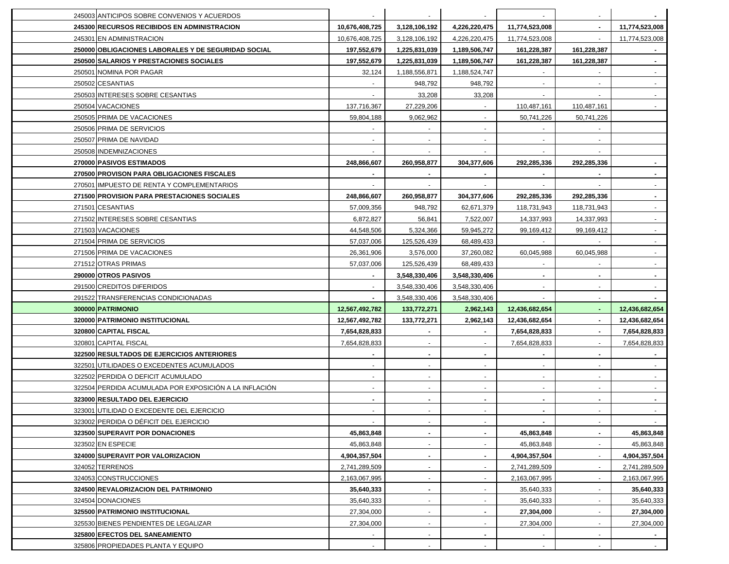| 245003 ANTICIPOS SOBRE CONVENIOS Y ACUERDOS            |                |                          |                |                |             |                |
|--------------------------------------------------------|----------------|--------------------------|----------------|----------------|-------------|----------------|
| 245300 RECURSOS RECIBIDOS EN ADMINISTRACION            | 10,676,408,725 | 3,128,106,192            | 4,226,220,475  | 11,774,523,008 | $\sim$      | 11,774,523,008 |
| 245301 EN ADMINISTRACION                               | 10,676,408,725 | 3,128,106,192            | 4,226,220,475  | 11,774,523,008 | $\sim$      | 11,774,523,008 |
| 250000 OBLIGACIONES LABORALES Y DE SEGURIDAD SOCIAL    | 197,552,679    | 1,225,831,039            | 1,189,506,747  | 161,228,387    | 161,228,387 |                |
| 250500 SALARIOS Y PRESTACIONES SOCIALES                | 197,552,679    | 1,225,831,039            | 1,189,506,747  | 161,228,387    | 161,228,387 | $\sim$         |
| 250501 NOMINA POR PAGAR                                | 32,124         | 1,188,556,871            | 1,188,524,747  |                |             |                |
| 250502 CESANTIAS                                       |                | 948,792                  | 948,792        |                |             |                |
| 250503 INTERESES SOBRE CESANTIAS                       |                | 33,208                   | 33,208         |                |             |                |
| 250504 VACACIONES                                      | 137,716,367    | 27,229,206               |                | 110,487,161    | 110,487,161 |                |
| 250505 PRIMA DE VACACIONES                             | 59,804,188     | 9,062,962                |                | 50,741,226     | 50,741,226  |                |
| 250506 PRIMA DE SERVICIOS                              |                |                          |                |                |             |                |
| 250507 PRIMA DE NAVIDAD                                |                |                          |                |                |             |                |
| 250508 INDEMNIZACIONES                                 |                |                          |                |                |             |                |
| 270000 PASIVOS ESTIMADOS                               | 248,866,607    | 260,958,877              | 304,377,606    | 292,285,336    | 292,285,336 |                |
| 270500 PROVISON PARA OBLIGACIONES FISCALES             |                |                          |                |                |             |                |
| 270501 IMPUESTO DE RENTA Y COMPLEMENTARIOS             |                |                          |                |                |             |                |
| 271500 PROVISION PARA PRESTACIONES SOCIALES            | 248,866,607    | 260,958,877              | 304,377,606    | 292,285,336    | 292,285,336 |                |
| 271501 CESANTIAS                                       | 57,009,356     | 948,792                  | 62,671,379     | 118,731,943    | 118,731,943 |                |
| 271502 INTERESES SOBRE CESANTIAS                       | 6,872,827      | 56,841                   | 7,522,007      | 14,337,993     | 14,337,993  |                |
| 271503 VACACIONES                                      | 44,548,506     | 5,324,366                | 59,945,272     | 99,169,412     | 99,169,412  |                |
| 271504 PRIMA DE SERVICIOS                              | 57,037,006     | 125,526,439              | 68,489,433     |                |             |                |
| 271506 PRIMA DE VACACIONES                             | 26,361,906     | 3,576,000                | 37,260,082     | 60,045,988     | 60,045,988  |                |
| 271512 OTRAS PRIMAS                                    | 57,037,006     | 125,526,439              | 68,489,433     |                |             |                |
| 290000 OTROS PASIVOS                                   |                | 3,548,330,406            | 3,548,330,406  |                |             |                |
| 291500 CREDITOS DIFERIDOS                              |                | 3,548,330,406            | 3,548,330,406  |                |             |                |
| 291522 TRANSFERENCIAS CONDICIONADAS                    |                | 3,548,330,406            | 3,548,330,406  |                |             |                |
| 300000 PATRIMONIO                                      | 12,567,492,782 | 133,772,271              | 2,962,143      | 12,436,682,654 |             | 12,436,682,654 |
| 320000 PATRIMONIO INSTITUCIONAL                        | 12,567,492,782 | 133,772,271              | 2,962,143      | 12,436,682,654 |             | 12,436,682,654 |
| 320800 CAPITAL FISCAL                                  | 7,654,828,833  | $\blacksquare$           | $\sim$         | 7,654,828,833  |             | 7,654,828,833  |
| 320801 CAPITAL FISCAL                                  | 7,654,828,833  | $\mathbf{r}$             | $\sim$         | 7,654,828,833  |             | 7,654,828,833  |
| 322500 RESULTADOS DE EJERCICIOS ANTERIORES             |                |                          |                |                |             |                |
| 322501 UTILIDADES O EXCEDENTES ACUMULADOS              |                |                          |                |                |             |                |
| 322502 PERDIDA O DEFICIT ACUMULADO                     |                | ٠                        |                |                |             |                |
| 322504 PERDIDA ACUMULADA POR EXPOSICIÓN A LA INFLACIÓN |                |                          |                |                |             |                |
| 323000 RESULTADO DEL EJERCICIO                         |                |                          |                |                |             |                |
| 323001 UTILIDAD O EXCEDENTE DEL EJERCICIO              |                | $\blacksquare$           |                |                |             |                |
| 323002 PERDIDA O DÉFICIT DEL EJERCICIO                 |                |                          |                |                |             |                |
| 323500 SUPERAVIT POR DONACIONES                        | 45,863,848     | $\blacksquare$           | $\blacksquare$ | 45,863,848     |             | 45,863,848     |
| 323502 EN ESPECIE                                      | 45,863,848     | $\overline{\phantom{a}}$ | $\sim$         | 45,863,848     |             | 45,863,848     |
| 324000 SUPERAVIT POR VALORIZACION                      | 4,904,357,504  | ٠                        | $\blacksquare$ | 4,904,357,504  |             | 4,904,357,504  |
| 324052 TERRENOS                                        | 2,741,289,509  |                          |                | 2,741,289,509  |             | 2,741,289,509  |
| 324053 CONSTRUCCIONES                                  | 2,163,067,995  |                          |                | 2,163,067,995  |             | 2,163,067,995  |
| 324500 REVALORIZACION DEL PATRIMONIO                   | 35,640,333     |                          |                | 35,640,333     |             | 35,640,333     |
| 324504 DONACIONES                                      | 35,640,333     |                          |                | 35,640,333     |             | 35,640,333     |
| 325500 PATRIMONIO INSTITUCIONAL                        | 27,304,000     |                          |                | 27,304,000     |             | 27,304,000     |
| 325530 BIENES PENDIENTES DE LEGALIZAR                  | 27,304,000     | $\overline{\phantom{a}}$ |                | 27,304,000     |             | 27,304,000     |
| 325800 EFECTOS DEL SANEAMIENTO                         |                |                          |                |                |             |                |
| 325806 PROPIEDADES PLANTA Y EQUIPO                     | $\sim$         | $\blacksquare$           |                |                |             | $\sim$ $-$     |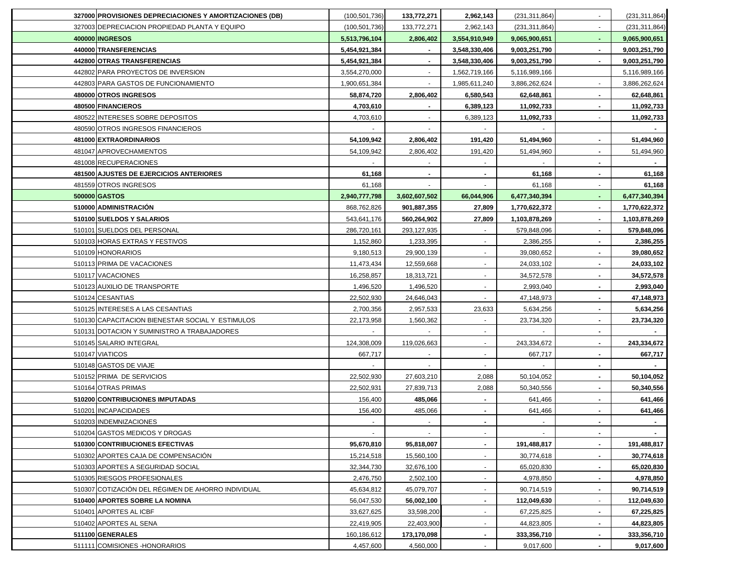| 327000 PROVISIONES DEPRECIACIONES Y AMORTIZACIONES (DB) | (100, 501, 736) | 133,772,271    | 2,962,143      | (231, 311, 864) | (231,311,864)   |
|---------------------------------------------------------|-----------------|----------------|----------------|-----------------|-----------------|
| 327003 DEPRECIACION PROPIEDAD PLANTA Y EQUIPO           | (100, 501, 736) | 133,772,271    | 2,962,143      | (231, 311, 864) | (231, 311, 864) |
| 400000 INGRESOS                                         | 5,513,796,104   | 2,806,402      | 3,554,910,949  | 9,065,900,651   | 9,065,900,651   |
| 440000 TRANSFERENCIAS                                   | 5,454,921,384   | $\sim$         | 3,548,330,406  | 9,003,251,790   | 9,003,251,790   |
| 442800 OTRAS TRANSFERENCIAS                             | 5,454,921,384   | $\blacksquare$ | 3,548,330,406  | 9,003,251,790   | 9,003,251,790   |
| 442802 PARA PROYECTOS DE INVERSION                      | 3,554,270,000   | $\mathbf{r}$   | 1,562,719,166  | 5,116,989,166   | 5,116,989,166   |
| 442803 PARA GASTOS DE FUNCIONAMIENTO                    | 1,900,651,384   | $\blacksquare$ | 1,985,611,240  | 3,886,262,624   | 3,886,262,624   |
| 480000 OTROS INGRESOS                                   | 58,874,720      | 2,806,402      | 6,580,543      | 62,648,861      | 62,648,861      |
| 480500 FINANCIEROS                                      | 4,703,610       |                | 6,389,123      | 11,092,733      | 11,092,733      |
| 480522 INTERESES SOBRE DEPOSITOS                        | 4,703,610       |                | 6,389,123      | 11,092,733      | 11,092,733      |
| 480590 OTROS INGRESOS FINANCIEROS                       |                 |                |                |                 |                 |
| 481000 EXTRAORDINARIOS                                  | 54,109,942      | 2,806,402      | 191,420        | 51,494,960      | 51,494,960      |
| 481047 APROVECHAMIENTOS                                 | 54,109,942      | 2,806,402      | 191,420        | 51,494,960      | 51,494,960      |
| 481008 RECUPERACIONES                                   |                 |                |                |                 |                 |
| 481500 AJUSTES DE EJERCICIOS ANTERIORES                 | 61,168          |                |                | 61,168          | 61,168          |
| 481559 OTROS INGRESOS                                   | 61,168          |                |                | 61,168          | 61,168          |
| 500000 GASTOS                                           | 2,940,777,798   | 3,602,607,502  | 66,044,906     | 6,477,340,394   | 6,477,340,394   |
| 510000 ADMINISTRACIÓN                                   | 868,762,826     | 901,887,355    | 27,809         | 1,770,622,372   | 1,770,622,372   |
| 510100 SUELDOS Y SALARIOS                               | 543,641,176     | 560,264,902    | 27,809         | 1,103,878,269   | 1,103,878,269   |
| 510101 SUELDOS DEL PERSONAL                             | 286,720,161     | 293,127,935    |                | 579,848,096     | 579,848,096     |
| 510103 HORAS EXTRAS Y FESTIVOS                          | 1,152,860       | 1,233,395      |                | 2,386,255       | 2,386,255       |
| 510109 HONORARIOS                                       | 9,180,513       | 29,900,139     |                | 39,080,652      | 39,080,652      |
| 510113 PRIMA DE VACACIONES                              | 11,473,434      | 12,559,668     |                | 24,033,102      | 24,033,102      |
| 510117 VACACIONES                                       | 16,258,857      | 18,313,721     |                | 34,572,578      | 34,572,578      |
| 510123 AUXILIO DE TRANSPORTE                            | 1,496,520       | 1,496,520      |                | 2,993,040       | 2,993,040       |
| 510124 CESANTIAS                                        | 22,502,930      | 24,646,043     |                | 47,148,973      | 47,148,973      |
| 510125 INTERESES A LAS CESANTIAS                        | 2,700,356       | 2,957,533      | 23,633         | 5,634,256       | 5,634,256       |
| 510130 CAPACITACION BIENESTAR SOCIAL Y ESTIMULOS        | 22,173,958      | 1,560,362      | $\sim$         | 23,734,320      | 23,734,320      |
| 510131 DOTACION Y SUMINISTRO A TRABAJADORES             |                 |                | $\sim$         | $\sim$          |                 |
| 510145 SALARIO INTEGRAL                                 | 124,308,009     | 119,026,663    | $\sim$         | 243,334,672     | 243,334,672     |
| 510147 VIATICOS                                         | 667,717         |                | $\sim$         | 667,717         | 667,717         |
| 510148 GASTOS DE VIAJE                                  |                 |                | $\sim$         |                 |                 |
| 510152 PRIMA DE SERVICIOS                               | 22,502,930      | 27,603,210     | 2,088          | 50,104,052      | 50,104,052      |
| 510164 OTRAS PRIMAS                                     | 22,502,931      | 27,839,713     | 2,088          | 50,340,556      | 50,340,556      |
| 510200 CONTRIBUCIONES IMPUTADAS                         | 156,400         | 485,066        |                | 641,466         | 641,466         |
| 510201 INCAPACIDADES                                    | 156,400         | 485,066        |                | 641,466         | 641,466         |
| 510203 INDEMNIZACIONES                                  |                 |                |                |                 |                 |
| 510204 GASTOS MEDICOS Y DROGAS                          |                 |                | $\sim$         |                 |                 |
| 510300 CONTRIBUCIONES EFECTIVAS                         | 95,670,810      | 95,818,007     | $\blacksquare$ | 191,488,817     | 191,488,817     |
| 510302 APORTES CAJA DE COMPENSACIÓN                     | 15,214,518      | 15,560,100     | $\sim$         | 30,774,618      | 30,774,618      |
| 510303 APORTES A SEGURIDAD SOCIAL                       | 32,344,730      | 32,676,100     | $\sim$         | 65,020,830      | 65,020,830      |
| 510305 RIESGOS PROFESIONALES                            | 2,476,750       | 2,502,100      |                | 4,978,850       | 4,978,850       |
| 510307 COTIZACIÓN DEL RÉGIMEN DE AHORRO INDIVIDUAL      | 45,634,812      | 45,079,707     |                | 90,714,519      | 90,714,519      |
| 510400 APORTES SOBRE LA NOMINA                          | 56,047,530      | 56,002,100     | $\blacksquare$ | 112,049,630     | 112,049,630     |
| 510401 APORTES AL ICBF                                  | 33,627,625      | 33,598,200     |                | 67,225,825      | 67,225,825      |
| 510402 APORTES AL SENA                                  | 22,419,905      | 22,403,900     |                | 44,823,805      | 44,823,805      |
| 511100 GENERALES                                        | 160,186,612     | 173,170,098    | $\blacksquare$ | 333,356,710     | 333,356,710     |
| 511111 COMISIONES - HONORARIOS                          | 4,457,600       | 4,560,000      |                | 9,017,600       | 9,017,600       |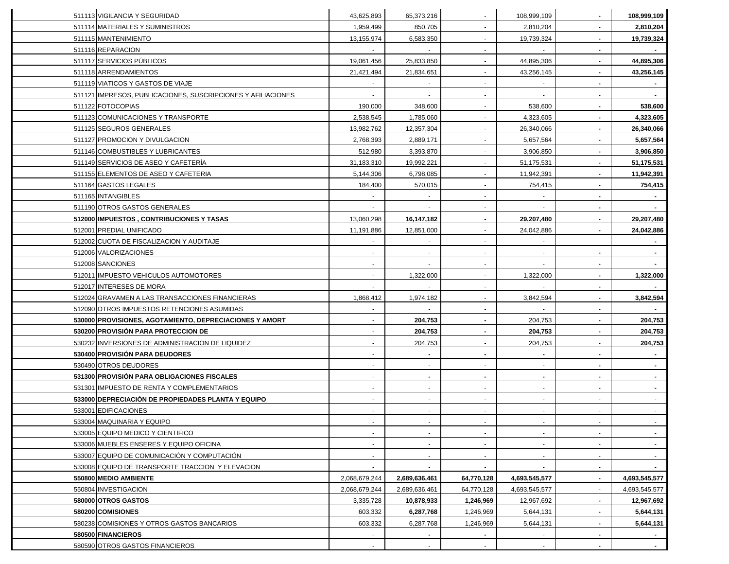| 511113 VIGILANCIA Y SEGURIDAD                                | 43,625,893     | 65,373,216     |                          | 108,999,109              |                | 108,999,109    |
|--------------------------------------------------------------|----------------|----------------|--------------------------|--------------------------|----------------|----------------|
| 511114 MATERIALES Y SUMINISTROS                              | 1,959,499      | 850,705        |                          | 2,810,204                |                | 2,810,204      |
| 511115 MANTENIMIENTO                                         | 13,155,974     | 6,583,350      |                          | 19,739,324               |                | 19,739,324     |
| 511116 REPARACION                                            |                |                |                          |                          |                |                |
| 511117 SERVICIOS PÚBLICOS                                    | 19,061,456     | 25,833,850     | $\overline{\phantom{a}}$ | 44,895,306               |                | 44,895,306     |
| 511118 ARRENDAMIENTOS                                        | 21,421,494     | 21,834,651     | $\blacksquare$           | 43,256,145               |                | 43,256,145     |
| 511119 VIATICOS Y GASTOS DE VIAJE                            | $\blacksquare$ | $\sim$         | $\blacksquare$           | $\sim$                   | $\blacksquare$ |                |
| 511121 IMPRESOS, PUBLICACIONES, SUSCRIPCIONES Y AFILIACIONES | $\blacksquare$ | $\sim$         | $\blacksquare$           | $\overline{\phantom{a}}$ |                |                |
| 511122 FOTOCOPIAS                                            | 190,000        | 348,600        | $\blacksquare$           | 538,600                  | ٠              | 538,600        |
| 511123 COMUNICACIONES Y TRANSPORTE                           | 2,538,545      | 1,785,060      | $\blacksquare$           | 4,323,605                |                | 4,323,605      |
| 511125 SEGUROS GENERALES                                     | 13,982,762     | 12,357,304     | $\mathbf{r}$             | 26,340,066               |                | 26,340,066     |
| 511127 PROMOCION Y DIVULGACION                               | 2,768,393      | 2,889,171      | $\mathbf{r}$             | 5,657,564                |                | 5,657,564      |
| 511146 COMBUSTIBLES Y LUBRICANTES                            | 512,980        | 3,393,870      | $\blacksquare$           | 3,906,850                |                | 3,906,850      |
| 511149 SERVICIOS DE ASEO Y CAFETERÍA                         | 31,183,310     | 19,992,221     |                          | 51,175,531               |                | 51,175,531     |
| 511155 ELEMENTOS DE ASEO Y CAFETERIA                         | 5,144,306      | 6,798,085      |                          | 11,942,391               |                | 11,942,391     |
| 511164 GASTOS LEGALES                                        | 184,400        | 570,015        |                          | 754,415                  |                | 754,415        |
| 511165 INTANGIBLES                                           |                |                |                          |                          |                |                |
| 511190 OTROS GASTOS GENERALES                                |                |                |                          |                          |                |                |
| 512000 IMPUESTOS, CONTRIBUCIONES Y TASAS                     | 13,060,298     | 16,147,182     | ٠                        | 29,207,480               |                | 29,207,480     |
| 512001 PREDIAL UNIFICADO                                     | 11,191,886     | 12,851,000     | $\blacksquare$           | 24,042,886               |                | 24,042,886     |
| 512002 CUOTA DE FISCALIZACION Y AUDITAJE                     |                |                |                          |                          |                |                |
| 512006 VALORIZACIONES                                        |                |                |                          |                          |                |                |
| 512008 SANCIONES                                             |                |                |                          |                          |                |                |
| 512011 IMPUESTO VEHICULOS AUTOMOTORES                        |                | 1,322,000      |                          | 1,322,000                |                | 1,322,000      |
| 512017 INTERESES DE MORA                                     |                |                | $\blacksquare$           |                          |                |                |
| 512024 GRAVAMEN A LAS TRANSACCIONES FINANCIERAS              | 1,868,412      | 1,974,182      | $\blacksquare$           | 3,842,594                |                | 3,842,594      |
| 512090 OTROS IMPUESTOS RETENCIONES ASUMIDAS                  |                |                |                          |                          |                |                |
| 530000 PROVISIONES, AGOTAMIENTO, DEPRECIACIONES Y AMORT      | $\blacksquare$ | 204,753        | $\blacksquare$           | 204,753                  |                | 204,753        |
| 530200 PROVISIÓN PARA PROTECCION DE                          |                | 204,753        | ۰.                       | 204,753                  |                | 204,753        |
| 530232 INVERSIONES DE ADMINISTRACION DE LIQUIDEZ             |                | 204,753        | $\overline{\phantom{a}}$ | 204,753                  |                | 204,753        |
| 530400 PROVISIÓN PARA DEUDORES                               | $\blacksquare$ | $\blacksquare$ | ۰.                       | $\blacksquare$           | $\blacksquare$ | $\blacksquare$ |
| 530490 OTROS DEUDORES                                        | $\blacksquare$ | $\sim$         | $\blacksquare$           | $\overline{\phantom{a}}$ | ٠              | $\sim$         |
| 531300 PROVISIÓN PARA OBLIGACIONES FISCALES                  |                | $\blacksquare$ | $\blacksquare$           | $\blacksquare$           |                | $\blacksquare$ |
| 531301 IMPUESTO DE RENTA Y COMPLEMENTARIOS                   |                | $\sim$         | $\mathbf{r}$             | $\sim$                   |                | $\sim$         |
| 533000 DEPRECIACIÓN DE PROPIEDADES PLANTA Y EQUIPO           |                |                | $\mathbf{r}$             |                          |                |                |
| 533001 EDIFICACIONES                                         |                |                | $\blacksquare$           |                          |                |                |
| 533004 MAQUINARIA Y EQUIPO                                   |                |                |                          |                          |                |                |
| 533005 EQUIPO MEDICO Y CIENTIFICO                            | $\blacksquare$ | $\blacksquare$ | $\blacksquare$           | $\blacksquare$           |                | $\sim$         |
| 533006 MUEBLES ENSERES Y EQUIPO OFICINA                      |                |                |                          |                          |                |                |
| 533007 EQUIPO DE COMUNICACIÓN Y COMPUTACIÓN                  |                |                |                          |                          |                |                |
| 533008 EQUIPO DE TRANSPORTE TRACCION Y ELEVACION             |                |                |                          |                          | ۰.             |                |
| 550800 MEDIO AMBIENTE                                        | 2,068,679,244  | 2,689,636,461  | 64,770,128               | 4,693,545,577            | ۰.             | 4,693,545,577  |
| 550804 INVESTIGACION                                         | 2,068,679,244  | 2,689,636,461  | 64,770,128               | 4,693,545,577            |                | 4,693,545,577  |
| 580000 OTROS GASTOS                                          | 3,335,728      | 10,878,933     | 1,246,969                | 12,967,692               |                | 12,967,692     |
| 580200 COMISIONES                                            | 603,332        | 6,287,768      | 1,246,969                | 5,644,131                |                | 5,644,131      |
| 580238 COMISIONES Y OTROS GASTOS BANCARIOS                   | 603,332        | 6,287,768      | 1,246,969                | 5,644,131                |                | 5,644,131      |
| 580500 FINANCIEROS                                           |                |                |                          |                          |                |                |
| 580590 OTROS GASTOS FINANCIEROS                              |                | $\sim$         | $\blacksquare$           |                          |                | $\sim$         |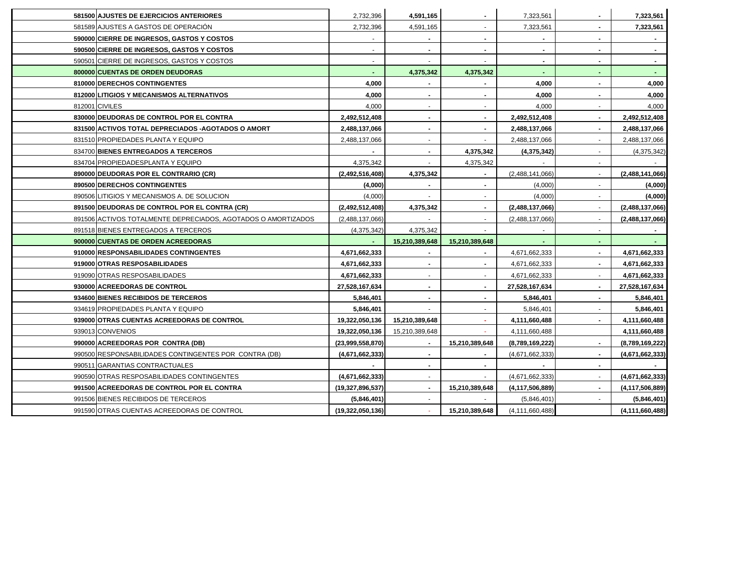| 581500 AJUSTES DE EJERCICIOS ANTERIORES                       | 2,732,396           | 4,591,165      |                | 7,323,561          |                | 7,323,561          |
|---------------------------------------------------------------|---------------------|----------------|----------------|--------------------|----------------|--------------------|
| 581589 AJUSTES A GASTOS DE OPERACIÓN                          | 2,732,396           | 4,591,165      | ٠              | 7,323,561          |                | 7,323,561          |
| 590000 CIERRE DE INGRESOS, GASTOS Y COSTOS                    |                     | $\sim$         | ۰.             | $\blacksquare$     | $\blacksquare$ |                    |
| 590500 CIERRE DE INGRESOS, GASTOS Y COSTOS                    |                     |                | $\blacksquare$ |                    |                | $\sim$             |
| 590501 CIERRE DE INGRESOS, GASTOS Y COSTOS                    |                     |                |                |                    |                |                    |
| 800000 CUENTAS DE ORDEN DEUDORAS                              |                     | 4,375,342      | 4,375,342      |                    |                |                    |
| 810000 DERECHOS CONTINGENTES                                  | 4,000               |                |                | 4,000              |                | 4,000              |
| 812000 LITIGIOS Y MECANISMOS ALTERNATIVOS                     | 4,000               |                |                | 4,000              |                | 4,000              |
| 812001 CIVILES                                                | 4,000               |                |                | 4,000              |                | 4,000              |
| 830000 DEUDORAS DE CONTROL POR EL CONTRA                      | 2,492,512,408       |                |                | 2,492,512,408      |                | 2,492,512,408      |
| 831500 ACTIVOS TOTAL DEPRECIADOS - AGOTADOS O AMORT           | 2,488,137,066       |                |                | 2,488,137,066      |                | 2,488,137,066      |
| 831510 PROPIEDADES PLANTA Y EQUIPO                            | 2,488,137,066       |                |                | 2,488,137,066      |                | 2,488,137,066      |
| 834700 BIENES ENTREGADOS A TERCEROS                           |                     |                | 4,375,342      | (4,375,342)        |                | (4,375,342)        |
| 834704 PROPIEDADESPLANTA Y EQUIPO                             | 4,375,342           |                | 4,375,342      |                    |                |                    |
| 890000 DEUDORAS POR EL CONTRARIO (CR)                         | (2,492,516,408)     | 4,375,342      |                | (2,488,141,066)    |                | (2,488,141,066)    |
| 890500 DERECHOS CONTINGENTES                                  | (4,000)             | $\blacksquare$ | $\blacksquare$ | (4,000)            |                | (4,000)            |
| 890506 LITIGIOS Y MECANISMOS A. DE SOLUCION                   | (4,000)             | $\blacksquare$ | $\sim$         | (4,000)            | $\blacksquare$ | (4,000)            |
| 891500 DEUDORAS DE CONTROL POR EL CONTRA (CR)                 | (2,492,512,408)     | 4,375,342      | $\blacksquare$ | (2,488,137,066)    |                | (2,488,137,066)    |
| 891506 ACTIVOS TOTALMENTE DEPRECIADOS, AGOTADOS O AMORTIZADOS | (2,488,137,066)     |                |                | (2,488,137,066)    |                | (2,488,137,066)    |
| 891518 BIENES ENTREGADOS A TERCEROS                           | (4,375,342)         | 4,375,342      |                |                    |                |                    |
| 900000 CUENTAS DE ORDEN ACREEDORAS                            |                     | 15,210,389,648 | 15,210,389,648 |                    |                |                    |
| 910000 RESPONSABILIDADES CONTINGENTES                         | 4,671,662,333       |                |                | 4,671,662,333      |                | 4,671,662,333      |
| 919000 OTRAS RESPOSABILIDADES                                 | 4,671,662,333       |                |                | 4,671,662,333      |                | 4,671,662,333      |
| 919090 OTRAS RESPOSABILIDADES                                 | 4,671,662,333       |                |                | 4,671,662,333      |                | 4,671,662,333      |
| 930000 ACREEDORAS DE CONTROL                                  | 27,528,167,634      |                |                | 27,528,167,634     |                | 27,528,167,634     |
| 934600 BIENES RECIBIDOS DE TERCEROS                           | 5,846,401           |                |                | 5,846,401          |                | 5,846,401          |
| 934619 PROPIEDADES PLANTA Y EQUIPO                            | 5,846,401           |                |                | 5,846,401          |                | 5,846,401          |
| 939000 OTRAS CUENTAS ACREEDORAS DE CONTROL                    | 19,322,050,136      | 15,210,389,648 |                | 4,111,660,488      |                | 4,111,660,488      |
| 939013 CONVENIOS                                              | 19,322,050,136      | 15,210,389,648 |                | 4,111,660,488      |                | 4,111,660,488      |
| 990000 ACREEDORAS POR CONTRA (DB)                             | (23,999,558,870)    | $\blacksquare$ | 15,210,389,648 | (8,789,169,222)    |                | (8,789,169,222)    |
| 990500 RESPONSABILIDADES CONTINGENTES POR CONTRA (DB)         | (4,671,662,333)     | $\sim$         |                | (4,671,662,333)    |                | (4,671,662,333)    |
| 990511 GARANTIAS CONTRACTUALES                                |                     |                |                |                    |                |                    |
| 990590 OTRAS RESPOSABILIDADES CONTINGENTES                    | (4,671,662,333)     |                |                | (4,671,662,333)    |                | (4,671,662,333)    |
| 991500 ACREEDORAS DE CONTROL POR EL CONTRA                    | (19, 327, 896, 537) |                | 15,210,389,648 | (4, 117, 506, 889) |                | (4, 117, 506, 889) |
| 991506 BIENES RECIBIDOS DE TERCEROS                           | (5,846,401)         |                |                | (5,846,401)        |                | (5,846,401)        |
| 991590 OTRAS CUENTAS ACREEDORAS DE CONTROL                    | (19,322,050,136)    |                | 15,210,389,648 | (4, 111, 660, 488) |                | (4, 111, 660, 488) |